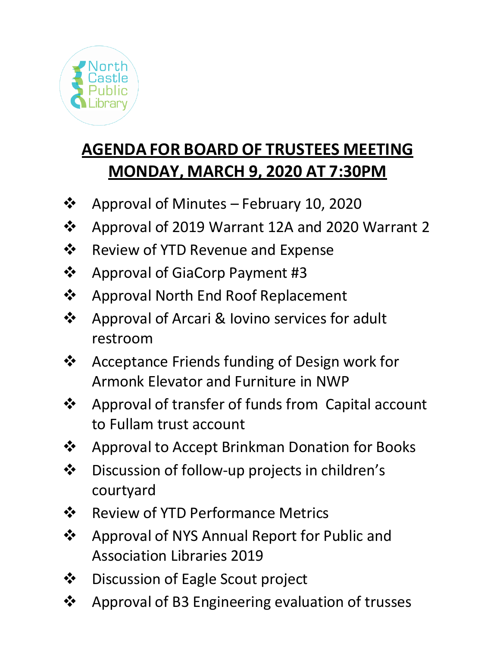

# **AGENDA FOR BOARD OF TRUSTEES MEETING MONDAY, MARCH 9, 2020 AT 7:30PM**

- ❖ Approval of Minutes February 10, 2020
- ❖ Approval of 2019 Warrant 12A and 2020 Warrant 2
- ❖ Review of YTD Revenue and Expense
- ❖ Approval of GiaCorp Payment #3
- ❖ Approval North End Roof Replacement
- ❖ Approval of Arcari & Iovino services for adult restroom
- ❖ Acceptance Friends funding of Design work for Armonk Elevator and Furniture in NWP
- ❖ Approval of transfer of funds from Capital account to Fullam trust account
- ❖ Approval to Accept Brinkman Donation for Books
- ❖ Discussion of follow-up projects in children's courtyard
- ❖ Review of YTD Performance Metrics
- ❖ Approval of NYS Annual Report for Public and Association Libraries 2019
- ❖ Discussion of Eagle Scout project
- ❖ Approval of B3 Engineering evaluation of trusses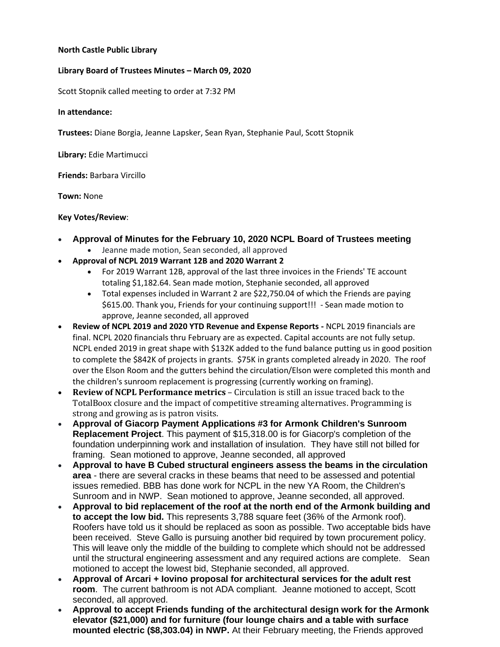## **North Castle Public Library**

### **Library Board of Trustees Minutes – March 09, 2020**

Scott Stopnik called meeting to order at 7:32 PM

**In attendance:**

**Trustees:** Diane Borgia, Jeanne Lapsker, Sean Ryan, Stephanie Paul, Scott Stopnik

**Library:** Edie Martimucci

**Friends:** Barbara Vircillo

**Town:** None

#### **Key Votes/Review**:

- **Approval of Minutes for the February 10, 2020 NCPL Board of Trustees meeting**
	- Jeanne made motion, Sean seconded, all approved
- **Approval of NCPL 2019 Warrant 12B and 2020 Warrant 2** 
	- For 2019 Warrant 12B, approval of the last three invoices in the Friends' TE account totaling \$1,182.64. Sean made motion, Stephanie seconded, all approved
	- Total expenses included in Warrant 2 are \$22,750.04 of which the Friends are paying \$615.00. Thank you, Friends for your continuing support!!! - Sean made motion to approve, Jeanne seconded, all approved
- **Review of NCPL 2019 and 2020 YTD Revenue and Expense Reports -** NCPL 2019 financials are final. NCPL 2020 financials thru February are as expected. Capital accounts are not fully setup. NCPL ended 2019 in great shape with \$132K added to the fund balance putting us in good position to complete the \$842K of projects in grants. \$75K in grants completed already in 2020. The roof over the Elson Room and the gutters behind the circulation/Elson were completed this month and the children's sunroom replacement is progressing (currently working on framing).
- **Review of NCPL Performance metrics** Circulation is still an issue traced back to the TotalBoox closure and the impact of competitive streaming alternatives. Programming is strong and growing as is patron visits.
- **Approval of Giacorp Payment Applications #3 for Armonk Children's Sunroom Replacement Project**. This payment of \$15,318.00 is for Giacorp's completion of the foundation underpinning work and installation of insulation. They have still not billed for framing. Sean motioned to approve, Jeanne seconded, all approved
- **Approval to have B Cubed structural engineers assess the beams in the circulation area** - there are several cracks in these beams that need to be assessed and potential issues remedied. BBB has done work for NCPL in the new YA Room, the Children's Sunroom and in NWP. Sean motioned to approve, Jeanne seconded, all approved.
- **Approval to bid replacement of the roof at the north end of the Armonk building and to accept the low bid.** This represents 3,788 square feet (36% of the Armonk roof). Roofers have told us it should be replaced as soon as possible. Two acceptable bids have been received. Steve Gallo is pursuing another bid required by town procurement policy. This will leave only the middle of the building to complete which should not be addressed until the structural engineering assessment and any required actions are complete. Sean motioned to accept the lowest bid, Stephanie seconded, all approved.
- **Approval of Arcari + Iovino proposal for architectural services for the adult rest room**. The current bathroom is not ADA compliant. Jeanne motioned to accept, Scott seconded, all approved.
- **Approval to accept Friends funding of the architectural design work for the Armonk elevator (\$21,000) and for furniture (four lounge chairs and a table with surface mounted electric (\$8,303.04) in NWP.** At their February meeting, the Friends approved